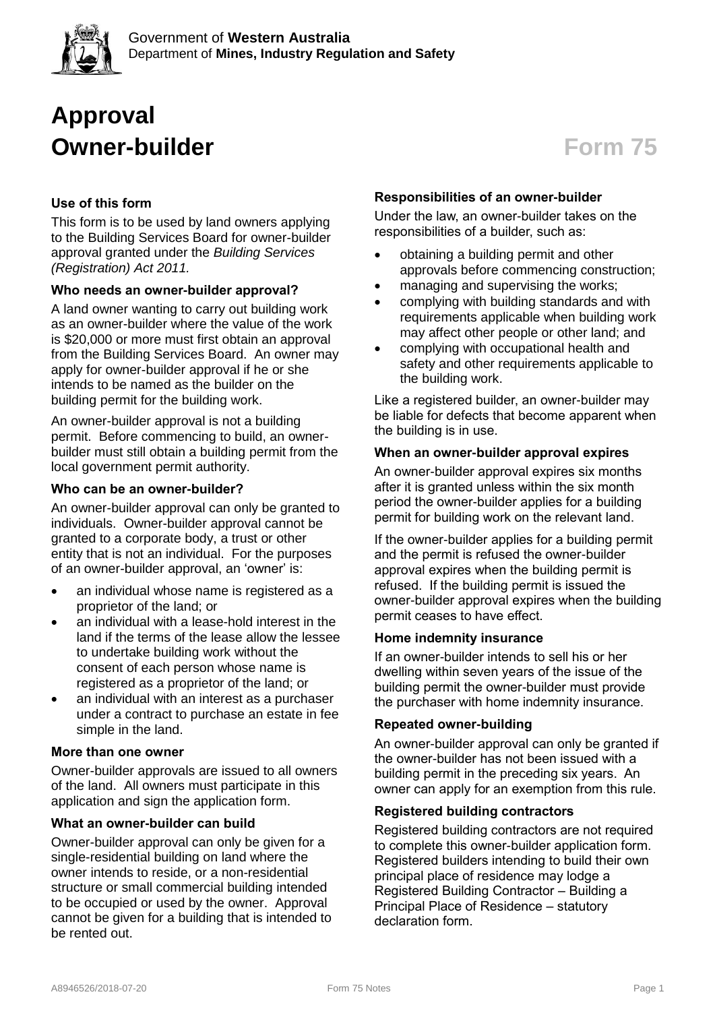

# **Approval Owner-builder Form 75**

# **Use of this form**

This form is to be used by land owners applying to the Building Services Board for owner-builder approval granted under the *Building Services (Registration) Act 2011.*

# **Who needs an owner-builder approval?**

A land owner wanting to carry out building work as an owner-builder where the value of the work is \$20,000 or more must first obtain an approval from the Building Services Board. An owner may apply for owner-builder approval if he or she intends to be named as the builder on the building permit for the building work.

An owner-builder approval is not a building permit. Before commencing to build, an ownerbuilder must still obtain a building permit from the local government permit authority.

# **Who can be an owner-builder?**

An owner-builder approval can only be granted to individuals. Owner-builder approval cannot be granted to a corporate body, a trust or other entity that is not an individual. For the purposes of an owner-builder approval, an 'owner' is:

- an individual whose name is registered as a proprietor of the land; or
- an individual with a lease-hold interest in the land if the terms of the lease allow the lessee to undertake building work without the consent of each person whose name is registered as a proprietor of the land; or
- an individual with an interest as a purchaser under a contract to purchase an estate in fee simple in the land.

# **More than one owner**

Owner-builder approvals are issued to all owners of the land. All owners must participate in this application and sign the application form.

# **What an owner-builder can build**

Owner-builder approval can only be given for a single-residential building on land where the owner intends to reside, or a non-residential structure or small commercial building intended to be occupied or used by the owner. Approval cannot be given for a building that is intended to be rented out.

# **Responsibilities of an owner-builder**

Under the law, an owner-builder takes on the responsibilities of a builder, such as:

- obtaining a building permit and other approvals before commencing construction;
- managing and supervising the works;
- complying with building standards and with requirements applicable when building work may affect other people or other land; and
- complying with occupational health and safety and other requirements applicable to the building work.

Like a registered builder, an owner-builder may be liable for defects that become apparent when the building is in use.

#### **When an owner-builder approval expires**

An owner-builder approval expires six months after it is granted unless within the six month period the owner-builder applies for a building permit for building work on the relevant land.

If the owner-builder applies for a building permit and the permit is refused the owner-builder approval expires when the building permit is refused. If the building permit is issued the owner-builder approval expires when the building permit ceases to have effect.

# **Home indemnity insurance**

If an owner-builder intends to sell his or her dwelling within seven years of the issue of the building permit the owner-builder must provide the purchaser with home indemnity insurance.

# **Repeated owner-building**

An owner-builder approval can only be granted if the owner-builder has not been issued with a building permit in the preceding six years. An owner can apply for an exemption from this rule.

#### **Registered building contractors**

Registered building contractors are not required to complete this owner-builder application form. Registered builders intending to build their own principal place of residence may lodge a Registered Building Contractor – Building a Principal Place of Residence – statutory declaration form.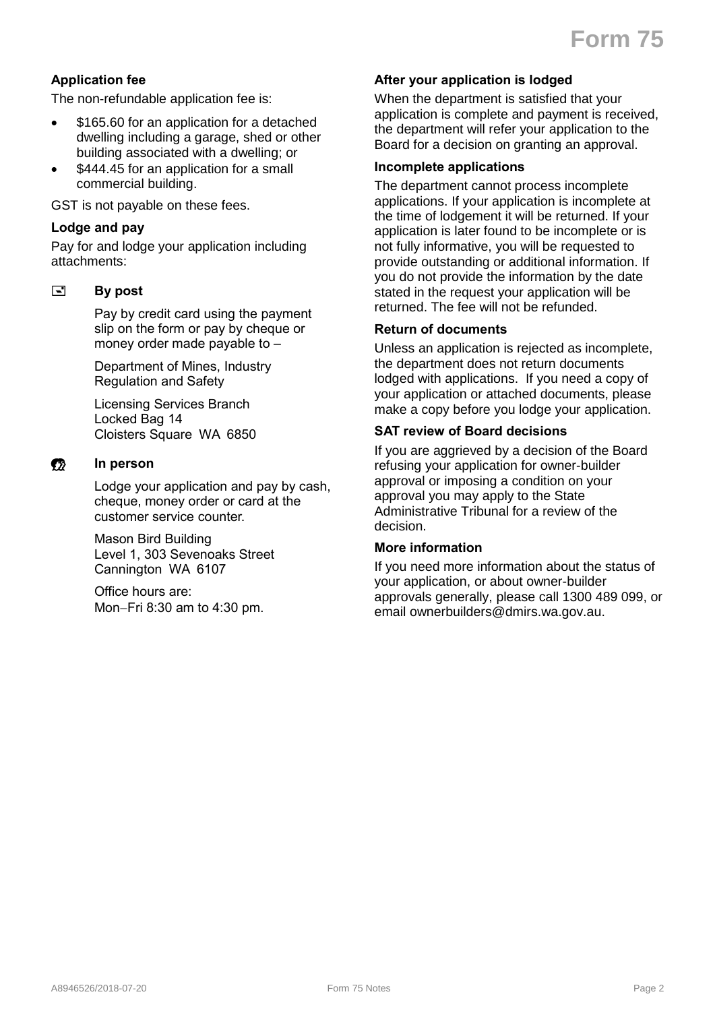# **Application fee**

The non-refundable application fee is:

- \$165.60 for an application for a detached dwelling including a garage, shed or other building associated with a dwelling; or
- \$444.45 for an application for a small commercial building.

GST is not payable on these fees.

#### **Lodge and pay**

Pay for and lodge your application including attachments:

#### **By post**

Pay by credit card using the payment slip on the form or pay by cheque or money order made payable to –

Department of Mines, Industry Regulation and Safety

Licensing Services Branch Locked Bag 14 Cloisters Square WA 6850

#### **Example 12** In person

Lodge your application and pay by cash, cheque, money order or card at the customer service counter.

Mason Bird Building Level 1, 303 Sevenoaks Street Cannington WA 6107

Office hours are: Mon-Fri 8:30 am to 4:30 pm.

#### **After your application is lodged**

When the department is satisfied that your application is complete and payment is received, the department will refer your application to the Board for a decision on granting an approval.

# **Incomplete applications**

The department cannot process incomplete applications. If your application is incomplete at the time of lodgement it will be returned. If your application is later found to be incomplete or is not fully informative, you will be requested to provide outstanding or additional information. If you do not provide the information by the date stated in the request your application will be returned. The fee will not be refunded.

#### **Return of documents**

Unless an application is rejected as incomplete, the department does not return documents lodged with applications. If you need a copy of your application or attached documents, please make a copy before you lodge your application.

#### **SAT review of Board decisions**

If you are aggrieved by a decision of the Board refusing your application for owner-builder approval or imposing a condition on your approval you may apply to the State Administrative Tribunal for a review of the decision.

#### **More information**

If you need more information about the status of your application, or about owner-builder approvals generally, please call 1300 489 099, or email ownerbuilders@dmirs.wa.gov.au.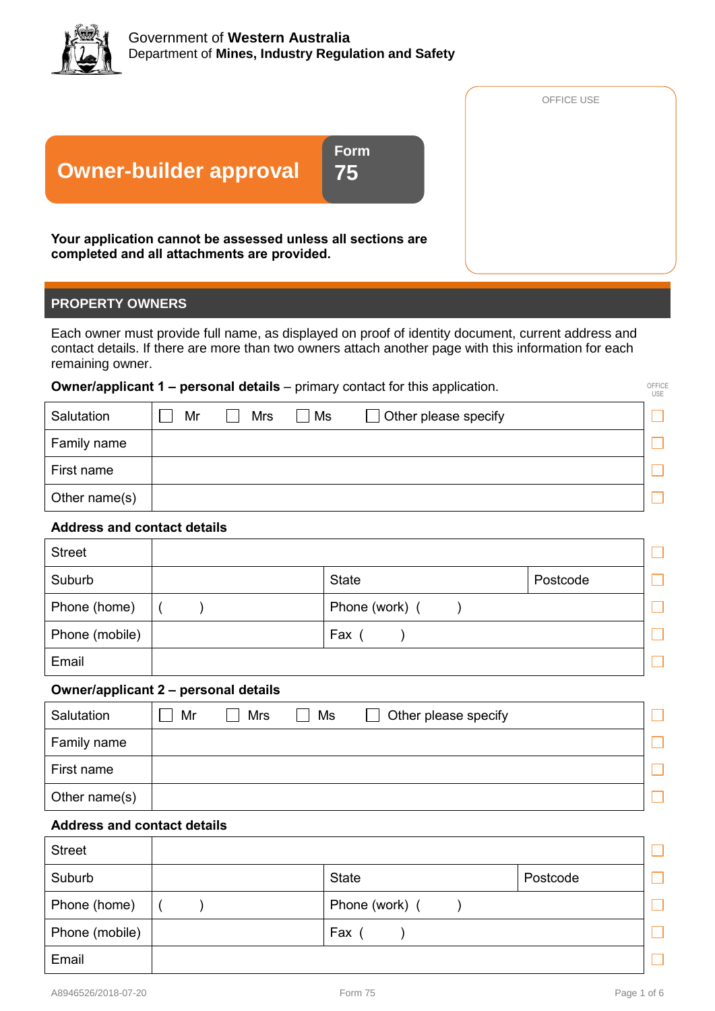

|                                                                                                            |                   | OFFICE USE |
|------------------------------------------------------------------------------------------------------------|-------------------|------------|
| <b>Owner-builder approval</b>                                                                              | <b>Form</b><br>75 |            |
| Your application cannot be assessed unless all sections are<br>completed and all attachments are provided. |                   |            |

# **PROPERTY OWNERS**

Each owner must provide full name, as displayed on proof of identity document, current address and contact details. If there are more than two owners attach another page with this information for each remaining owner.

#### **Owner/applicant 1 – personal details** – primary contact for this application.

|               | <b>Uniformally 1</b> - personal details - primary contact for this application.<br><b>USE</b> |            |    |                                       |  |  |
|---------------|-----------------------------------------------------------------------------------------------|------------|----|---------------------------------------|--|--|
| Salutation    | Mr                                                                                            | <b>Mrs</b> | Ms | Other please specify<br>$\mathcal{L}$ |  |  |
| Family name   |                                                                                               |            |    |                                       |  |  |
| First name    |                                                                                               |            |    |                                       |  |  |
| Other name(s) |                                                                                               |            |    |                                       |  |  |

# **Address and contact details**

| <b>Street</b>  |                |          |  |
|----------------|----------------|----------|--|
| Suburb         | <b>State</b>   | Postcode |  |
| Phone (home)   | Phone (work) ( |          |  |
| Phone (mobile) | Fax            |          |  |
| Email          |                |          |  |

#### **Owner/applicant 2 – personal details**

| Salutation    | Mr | <b>Mrs</b> | Ms | Other please specify<br>$\mathsf{L}$ |  |
|---------------|----|------------|----|--------------------------------------|--|
| Family name   |    |            |    |                                      |  |
| First name    |    |            |    |                                      |  |
| Other name(s) |    |            |    |                                      |  |

# **Address and contact details**

| <b>Street</b>  |                |          |  |
|----------------|----------------|----------|--|
| Suburb         | <b>State</b>   | Postcode |  |
| Phone (home)   | Phone (work) ( |          |  |
| Phone (mobile) | Fax            |          |  |
| Email          |                |          |  |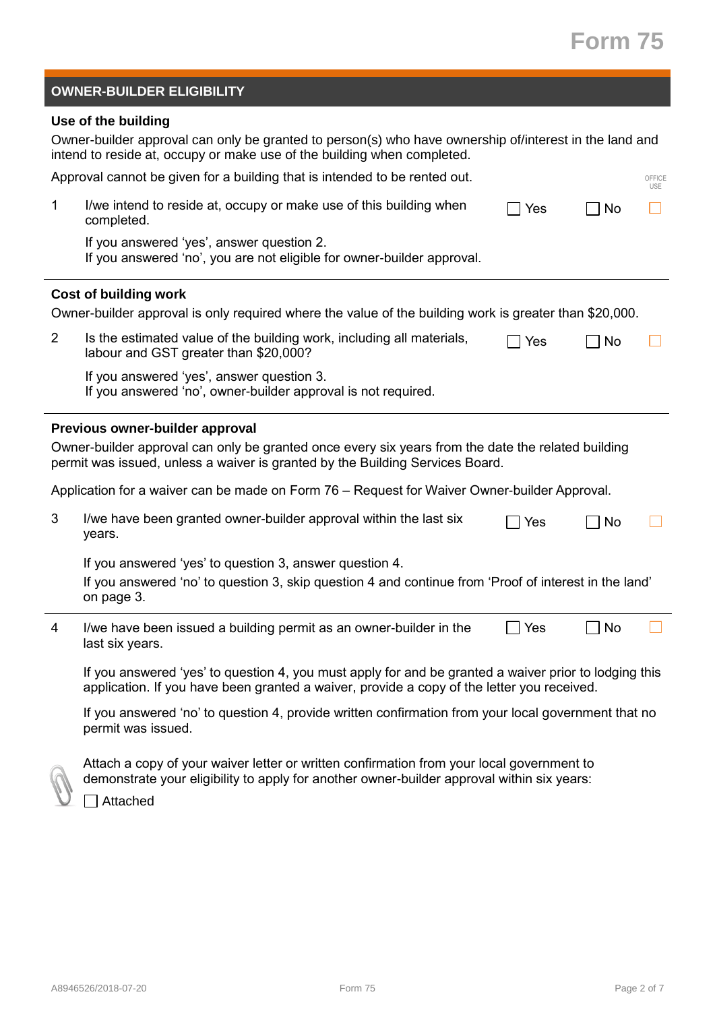# **Form 75**

| <b>OWNER-BUILDER ELIGIBILITY</b> |  |
|----------------------------------|--|
|                                  |  |

# **Use of the building**

|                | Owner-builder approval can only be granted to person(s) who have ownership of/interest in the land and<br>intend to reside at, occupy or make use of the building when completed.                   |            |    |                      |  |  |
|----------------|-----------------------------------------------------------------------------------------------------------------------------------------------------------------------------------------------------|------------|----|----------------------|--|--|
|                | Approval cannot be given for a building that is intended to be rented out.                                                                                                                          |            |    | OFFICE<br><b>USE</b> |  |  |
| 1              | I/we intend to reside at, occupy or make use of this building when<br>completed.                                                                                                                    | $\Box$ Yes | No |                      |  |  |
|                | If you answered 'yes', answer question 2.<br>If you answered 'no', you are not eligible for owner-builder approval.                                                                                 |            |    |                      |  |  |
|                | <b>Cost of building work</b>                                                                                                                                                                        |            |    |                      |  |  |
|                | Owner-builder approval is only required where the value of the building work is greater than \$20,000.                                                                                              |            |    |                      |  |  |
| $\overline{2}$ | Is the estimated value of the building work, including all materials,<br>labour and GST greater than \$20,000?                                                                                      | ∏ Yes      | No |                      |  |  |
|                | If you answered 'yes', answer question 3.<br>If you answered 'no', owner-builder approval is not required.                                                                                          |            |    |                      |  |  |
|                | Previous owner-builder approval                                                                                                                                                                     |            |    |                      |  |  |
|                | Owner-builder approval can only be granted once every six years from the date the related building<br>permit was issued, unless a waiver is granted by the Building Services Board.                 |            |    |                      |  |  |
|                | Application for a waiver can be made on Form 76 - Request for Waiver Owner-builder Approval.                                                                                                        |            |    |                      |  |  |
| 3              | I/we have been granted owner-builder approval within the last six<br>years.                                                                                                                         | Yes        | No |                      |  |  |
|                | If you answered 'yes' to question 3, answer question 4.                                                                                                                                             |            |    |                      |  |  |
|                | If you answered 'no' to question 3, skip question 4 and continue from 'Proof of interest in the land'<br>on page 3.                                                                                 |            |    |                      |  |  |
| 4              | I/we have been issued a building permit as an owner-builder in the<br>last six years.                                                                                                               | ∏ Yes      | No |                      |  |  |
|                | If you answered 'yes' to question 4, you must apply for and be granted a waiver prior to lodging this<br>application. If you have been granted a waiver, provide a copy of the letter you received. |            |    |                      |  |  |
|                | If you answered 'no' to question 4, provide written confirmation from your local government that no<br>permit was issued.                                                                           |            |    |                      |  |  |



Attach a copy of your waiver letter or written confirmation from your local government to demonstrate your eligibility to apply for another owner-builder approval within six years:

□ Attached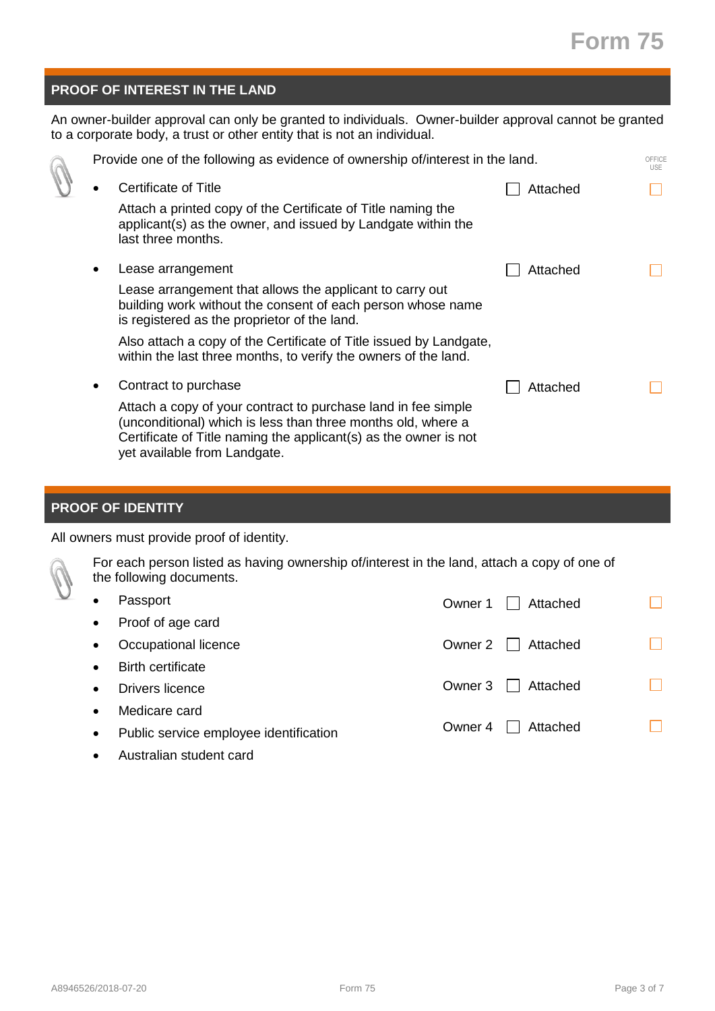# **Form 75**

# **PROOF OF INTEREST IN THE LAND**

An owner-builder approval can only be granted to individuals. Owner-builder approval cannot be granted to a corporate body, a trust or other entity that is not an individual.

| Provide one of the following as evidence of ownership of/interest in the land.                                                                                                                                                                                                                                                                    | OFFICE<br><b>USE</b> |
|---------------------------------------------------------------------------------------------------------------------------------------------------------------------------------------------------------------------------------------------------------------------------------------------------------------------------------------------------|----------------------|
| Certificate of Title<br>Attached<br>Attach a printed copy of the Certificate of Title naming the<br>applicant(s) as the owner, and issued by Landgate within the<br>last three months.                                                                                                                                                            |                      |
| Lease arrangement<br>Attached<br>Lease arrangement that allows the applicant to carry out<br>building work without the consent of each person whose name<br>is registered as the proprietor of the land.<br>Also attach a copy of the Certificate of Title issued by Landgate,<br>within the last three months, to verify the owners of the land. |                      |
| Contract to purchase<br>Attached<br>Attach a copy of your contract to purchase land in fee simple<br>(unconditional) which is less than three months old, where a<br>Certificate of Title naming the applicant(s) as the owner is not<br>yet available from Landgate.                                                                             |                      |

# **PROOF OF IDENTITY**

All owners must provide proof of identity.



For each person listed as having ownership of/interest in the land, attach a copy of one of the following documents.

| Passport                               | Attached<br>Owner 1                 |  |
|----------------------------------------|-------------------------------------|--|
| Proof of age card                      |                                     |  |
| Occupational licence                   | Owner 2<br>Attached<br>$\mathbf{L}$ |  |
| <b>Birth certificate</b>               |                                     |  |
| Drivers licence                        | Attached<br>Owner 3<br>$\mathbf{L}$ |  |
| Medicare card                          |                                     |  |
| Public service employee identification | Owner 4<br>Attached                 |  |
| Australian student card                |                                     |  |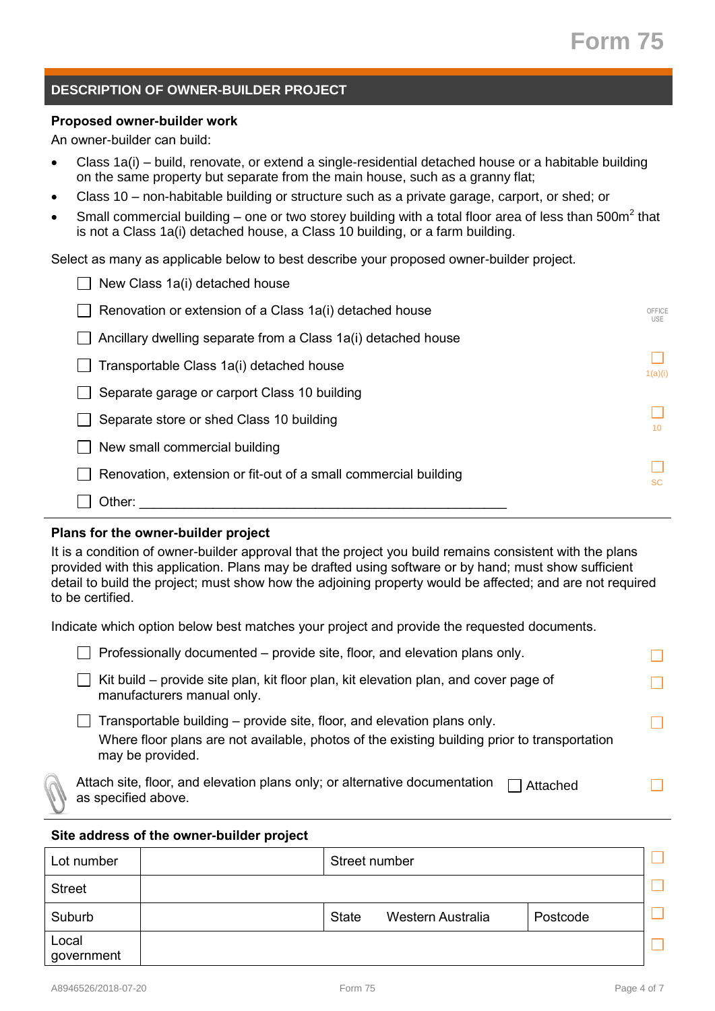# **DESCRIPTION OF OWNER-BUILDER PROJECT**

#### **Proposed owner-builder work**

An owner-builder can build:

- Class 1a(i) build, renovate, or extend a single-residential detached house or a habitable building on the same property but separate from the main house, such as a granny flat;
- Class 10 non-habitable building or structure such as a private garage, carport, or shed; or
- Small commercial building one or two storey building with a total floor area of less than 500m<sup>2</sup> that is not a Class 1a(i) detached house, a Class 10 building, or a farm building.

Select as many as applicable below to best describe your proposed owner-builder project.

| New Class 1a(i) detached house                                  |                      |
|-----------------------------------------------------------------|----------------------|
| Renovation or extension of a Class 1a(i) detached house         | OFFICE<br><b>USE</b> |
| Ancillary dwelling separate from a Class 1a(i) detached house   |                      |
| Transportable Class 1a(i) detached house                        | 1(a)(i)              |
| Separate garage or carport Class 10 building                    |                      |
| Separate store or shed Class 10 building                        | 10 <sup>1</sup>      |
| New small commercial building                                   |                      |
| Renovation, extension or fit-out of a small commercial building | <b>SC</b>            |
| Other:                                                          |                      |

#### **Plans for the owner-builder project**

It is a condition of owner-builder approval that the project you build remains consistent with the plans provided with this application. Plans may be drafted using software or by hand; must show sufficient detail to build the project; must show how the adjoining property would be affected; and are not required to be certified.

Indicate which option below best matches your project and provide the requested documents.

| Professionally documented – provide site, floor, and elevation plans only.                                                                                                                  |  |
|---------------------------------------------------------------------------------------------------------------------------------------------------------------------------------------------|--|
| Kit build – provide site plan, kit floor plan, kit elevation plan, and cover page of<br>manufacturers manual only.                                                                          |  |
| Transportable building – provide site, floor, and elevation plans only.<br>Where floor plans are not available, photos of the existing building prior to transportation<br>may be provided. |  |
| Attach site, floor, and elevation plans only; or alternative documentation<br>Attached<br>as specified above.                                                                               |  |

#### **Site address of the owner-builder project**

| Lot number          | Street number |                   |          |  |
|---------------------|---------------|-------------------|----------|--|
| <b>Street</b>       |               |                   |          |  |
| Suburb              | <b>State</b>  | Western Australia | Postcode |  |
| Local<br>government |               |                   |          |  |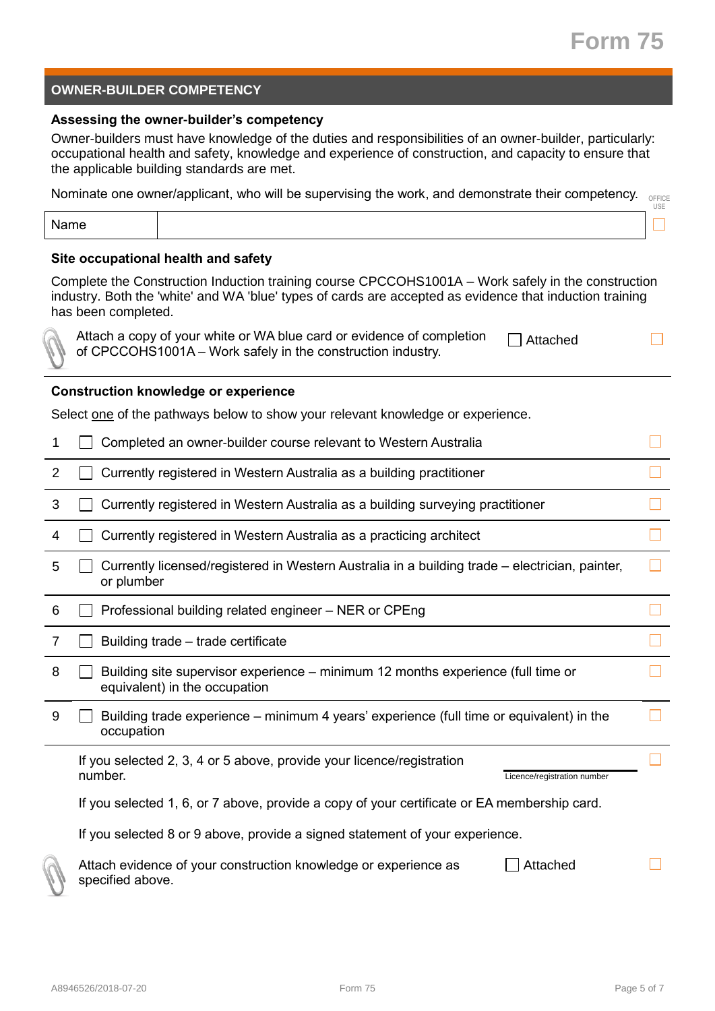# **OWNER-BUILDER COMPETENCY**

#### **Assessing the owner-builder's competency**

Owner-builders must have knowledge of the duties and responsibilities of an owner-builder, particularly: occupational health and safety, knowledge and experience of construction, and capacity to ensure that the applicable building standards are met.

Nominate one owner/applicant, who will be supervising the work, and demonstrate their competency. OFFICE

| ◡◡ |
|----|
|    |

#### **Site occupational health and safety**

Complete the Construction Induction training course CPCCOHS1001A – Work safely in the construction industry. Both the 'white' and WA 'blue' types of cards are accepted as evidence that induction training has been completed.

Attach a copy of your white or WA blue card or evidence of completion of CPCCOHS1001A – Work safely in the construction industry.  $\Box$  Attach

| ed |  |  |
|----|--|--|

 $\Box$ 

#### **Construction knowledge or experience**

Select one of the pathways below to show your relevant knowledge or experience.

| 1              | Completed an owner-builder course relevant to Western Australia                                                   |  |
|----------------|-------------------------------------------------------------------------------------------------------------------|--|
| $\overline{2}$ | Currently registered in Western Australia as a building practitioner                                              |  |
| 3              | Currently registered in Western Australia as a building surveying practitioner                                    |  |
| 4              | Currently registered in Western Australia as a practicing architect                                               |  |
| 5              | Currently licensed/registered in Western Australia in a building trade – electrician, painter,<br>or plumber      |  |
| 6              | Professional building related engineer - NER or CPEng                                                             |  |
| 7              | Building trade - trade certificate                                                                                |  |
| 8              | Building site supervisor experience – minimum 12 months experience (full time or<br>equivalent) in the occupation |  |
| 9              | Building trade experience – minimum 4 years' experience (full time or equivalent) in the<br>occupation            |  |
|                | If you selected 2, 3, 4 or 5 above, provide your licence/registration<br>number.<br>Licence/registration number   |  |
|                | If you selected 1, 6, or 7 above, provide a copy of your certificate or EA membership card.                       |  |
|                | If you selected 8 or 9 above, provide a signed statement of your experience.                                      |  |
|                | Attach evidence of your construction knowledge or experience as<br>Attached<br>specified above.                   |  |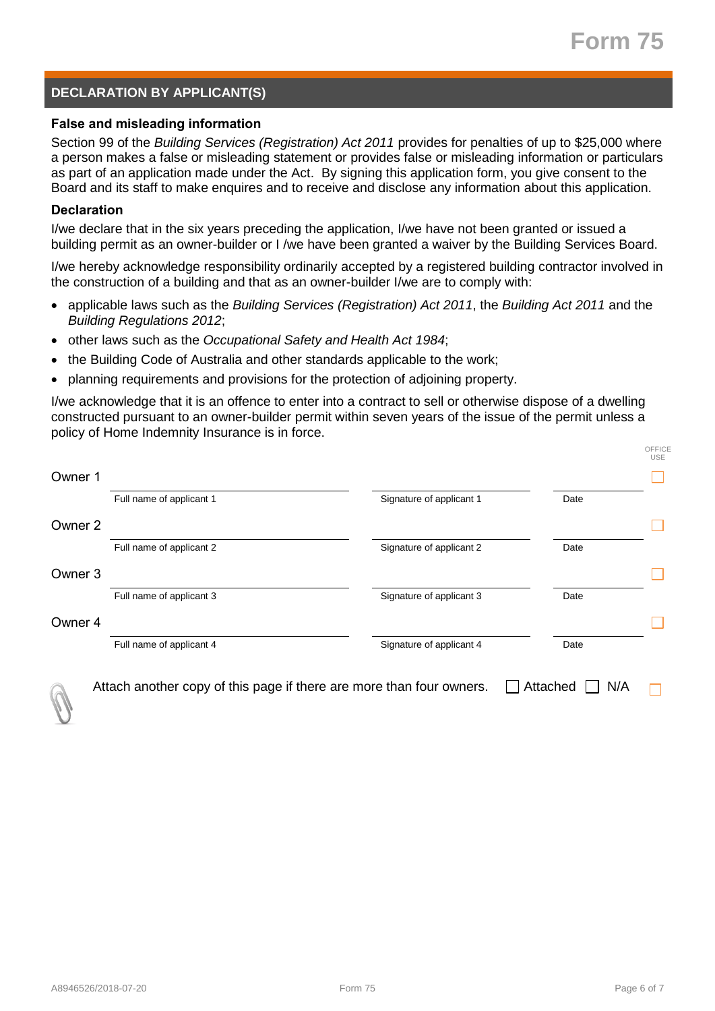OFFICE

# **DECLARATION BY APPLICANT(S)**

#### **False and misleading information**

Section 99 of the *Building Services (Registration) Act 2011* provides for penalties of up to \$25,000 where a person makes a false or misleading statement or provides false or misleading information or particulars as part of an application made under the Act. By signing this application form, you give consent to the Board and its staff to make enquires and to receive and disclose any information about this application.

#### **Declaration**

I/we declare that in the six years preceding the application, I/we have not been granted or issued a building permit as an owner-builder or I /we have been granted a waiver by the Building Services Board.

I/we hereby acknowledge responsibility ordinarily accepted by a registered building contractor involved in the construction of a building and that as an owner-builder I/we are to comply with:

- applicable laws such as the *Building Services (Registration) Act 2011*, the *Building Act 2011* and the *Building Regulations 2012*;
- other laws such as the *Occupational Safety and Health Act 1984*;
- the Building Code of Australia and other standards applicable to the work;
- planning requirements and provisions for the protection of adjoining property.

I/we acknowledge that it is an offence to enter into a contract to sell or otherwise dispose of a dwelling constructed pursuant to an owner-builder permit within seven years of the issue of the permit unless a policy of Home Indemnity Insurance is in force.

|                    | Full name of applicant 1 | Signature of applicant 1 | Date |
|--------------------|--------------------------|--------------------------|------|
| Owner <sub>2</sub> |                          |                          |      |
|                    | Full name of applicant 2 | Signature of applicant 2 | Date |
| Owner 3            |                          |                          |      |
|                    | Full name of applicant 3 | Signature of applicant 3 | Date |
| Owner 4            |                          |                          |      |
|                    | Full name of applicant 4 | Signature of applicant 4 | Date |